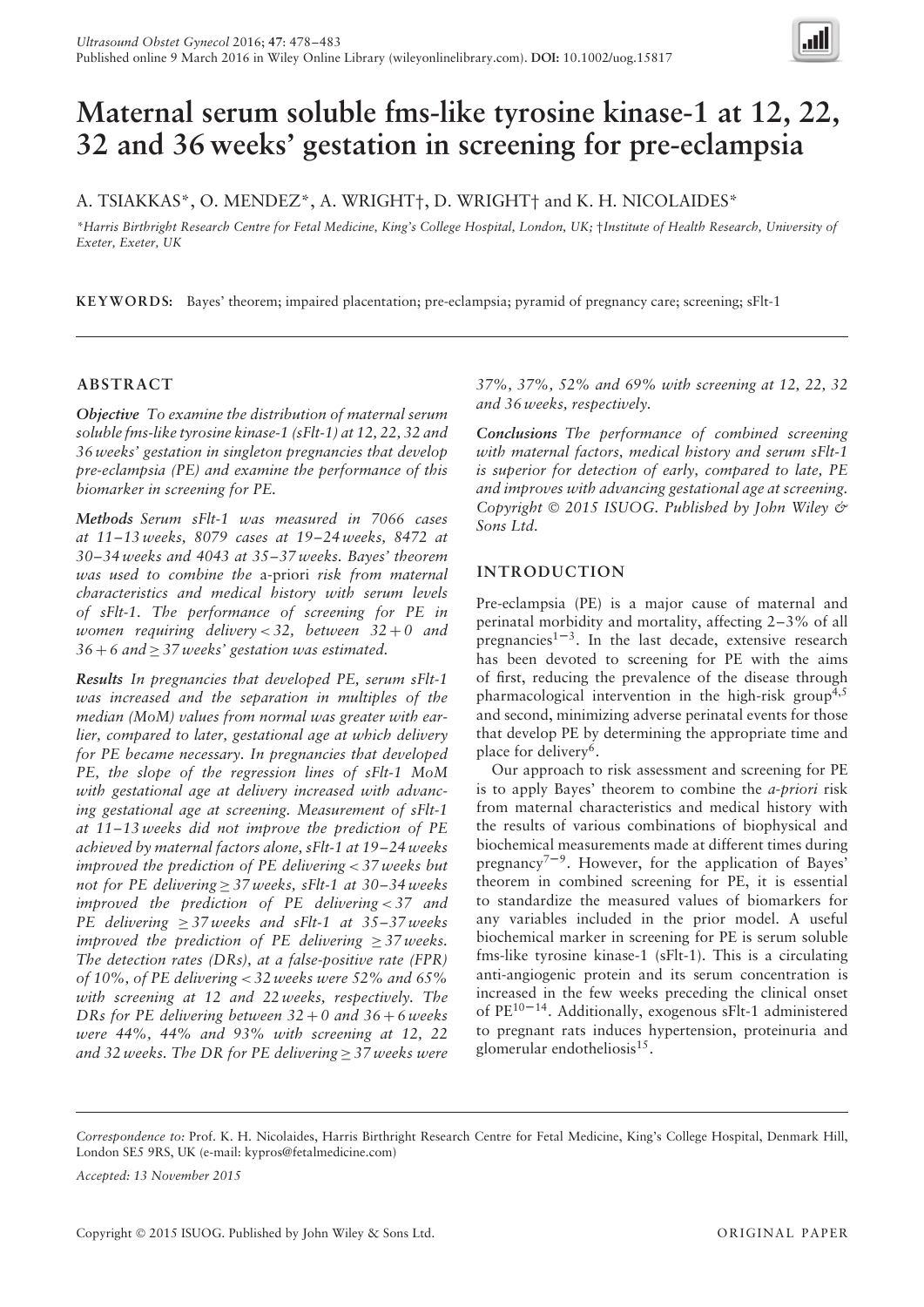

# **Maternal serum soluble fms-like tyrosine kinase-1 at 12, 22, 32 and 36 weeks' gestation in screening for pre-eclampsia**

A. TSIAKKAS\*, O. MENDEZ\*, A. WRIGHT†, D. WRIGHT† and K. H. NICOLAIDES\*

*\*Harris Birthright Research Centre for Fetal Medicine, King's College Hospital, London, UK;* †*Institute of Health Research, University of Exeter, Exeter, UK*

**KEYWORDS:** Bayes' theorem; impaired placentation; pre-eclampsia; pyramid of pregnancy care; screening; sFlt-1

# **ABSTRACT**

*Objective To examine the distribution of maternal serum soluble fms-like tyrosine kinase-1 (sFlt-1) at 12, 22, 32 and 36 weeks' gestation in singleton pregnancies that develop pre-eclampsia (PE) and examine the performance of this biomarker in screening for PE.*

*Methods Serum sFlt-1 was measured in 7066 cases at 11–13 weeks, 8079 cases at 19–24 weeks, 8472 at 30–34 weeks and 4043 at 35–37 weeks. Bayes' theorem was used to combine the* a-priori *risk from maternal characteristics and medical history with serum levels of sFlt-1. The performance of screening for PE in women requiring delivery < 32, between 32* + *0 and 36* + *6 and* ≥ *37 weeks' gestation was estimated.*

*Results In pregnancies that developed PE, serum sFlt-1 was increased and the separation in multiples of the median (MoM) values from normal was greater with earlier, compared to later, gestational age at which delivery for PE became necessary. In pregnancies that developed PE, the slope of the regression lines of sFlt-1 MoM with gestational age at delivery increased with advancing gestational age at screening. Measurement of sFlt-1 at 11–13 weeks did not improve the prediction of PE achieved by maternal factors alone, sFlt-1 at 19–24 weeks improved the prediction of PE delivering < 37 weeks but not for PE delivering* ≥ *37 weeks, sFlt-1 at 30–34 weeks improved the prediction of PE delivering < 37 and PE delivering* ≥ *37 weeks and sFlt-1 at 35–37 weeks improved the prediction of PE delivering*  $\geq$  37 weeks. *The detection rates (DRs), at a false-positive rate (FPR) of 10%, of PE delivering < 32 weeks were 52% and 65% with screening at 12 and 22 weeks, respectively. The DRs for PE delivering between 32* + *0 and 36* + *6 weeks were 44%, 44% and 93% with screening at 12, 22 and 32 weeks. The DR for PE delivering* ≥ *37 weeks were*

*37%, 37%, 52% and 69% with screening at 12, 22, 32 and 36 weeks, respectively.*

*Conclusions The performance of combined screening with maternal factors, medical history and serum sFlt-1 is superior for detection of early, compared to late, PE and improves with advancing gestational age at screening. Copyright* © *2015 ISUOG. Published by John Wiley & Sons Ltd.*

# **INTRODUCTION**

Pre-eclampsia (PE) is a major cause of maternal and perinatal morbidity and mortality, affecting 2–3% of all pregnancies<sup>1-3</sup>. In the last decade, extensive research has been devoted to screening for PE with the aims of first, reducing the prevalence of the disease through pharmacological intervention in the high-risk group<sup>4,5</sup> and second, minimizing adverse perinatal events for those that develop PE by determining the appropriate time and place for delivery<sup>6</sup>.

Our approach to risk assessment and screening for PE is to apply Bayes' theorem to combine the *a-priori* risk from maternal characteristics and medical history with the results of various combinations of biophysical and biochemical measurements made at different times during pregnancy<sup> $7-9$ </sup>. However, for the application of Bayes' theorem in combined screening for PE, it is essential to standardize the measured values of biomarkers for any variables included in the prior model. A useful biochemical marker in screening for PE is serum soluble fms-like tyrosine kinase-1 (sFlt-1). This is a circulating anti-angiogenic protein and its serum concentration is increased in the few weeks preceding the clinical onset of  $PE^{10-14}$ . Additionally, exogenous sFlt-1 administered to pregnant rats induces hypertension, proteinuria and glomerular endotheliosis<sup>15</sup>.

*Accepted: 13 November 2015*

*Correspondence to:* Prof. K. H. Nicolaides, Harris Birthright Research Centre for Fetal Medicine, King's College Hospital, Denmark Hill, London SE5 9RS, UK (e-mail: kypros@fetalmedicine.com)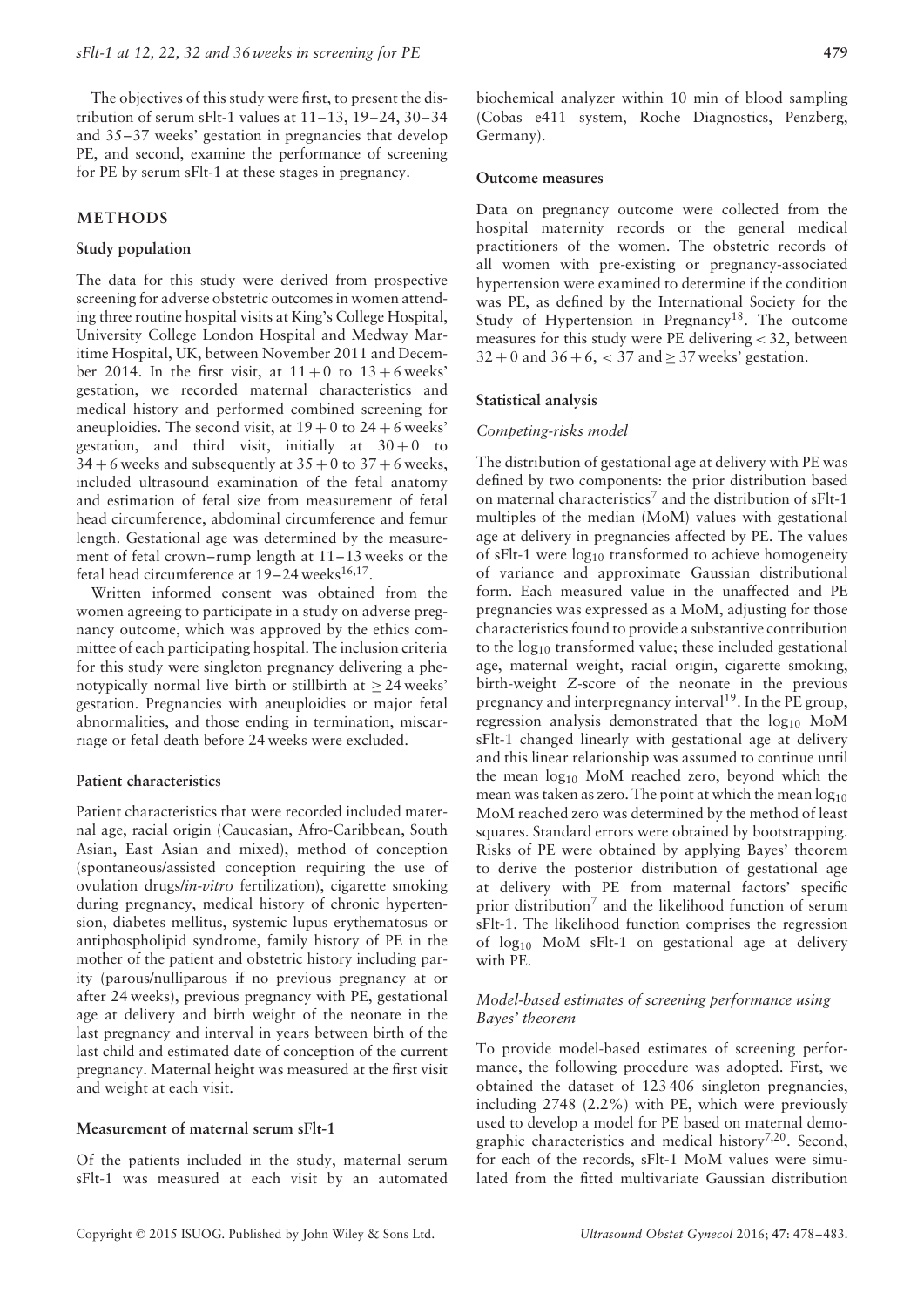The objectives of this study were first, to present the distribution of serum sFlt-1 values at  $11-13$ ,  $19-24$ ,  $30-34$ and 35–37 weeks' gestation in pregnancies that develop PE, and second, examine the performance of screening for PE by serum sFlt-1 at these stages in pregnancy.

## **METHODS**

#### **Study population**

The data for this study were derived from prospective screening for adverse obstetric outcomes in women attending three routine hospital visits at King's College Hospital, University College London Hospital and Medway Maritime Hospital, UK, between November 2011 and December 2014. In the first visit, at  $11+0$  to  $13+6$  weeks' gestation, we recorded maternal characteristics and medical history and performed combined screening for aneuploidies. The second visit, at  $19 + 0$  to  $24 + 6$  weeks' gestation, and third visit, initially at  $30+0$  to  $34 + 6$  weeks and subsequently at  $35 + 0$  to  $37 + 6$  weeks, included ultrasound examination of the fetal anatomy and estimation of fetal size from measurement of fetal head circumference, abdominal circumference and femur length. Gestational age was determined by the measurement of fetal crown–rump length at 11–13 weeks or the fetal head circumference at  $19-24$  weeks<sup>16,17</sup>.

Written informed consent was obtained from the women agreeing to participate in a study on adverse pregnancy outcome, which was approved by the ethics committee of each participating hospital. The inclusion criteria for this study were singleton pregnancy delivering a phenotypically normal live birth or stillbirth at  $\geq$  24 weeks' gestation. Pregnancies with aneuploidies or major fetal abnormalities, and those ending in termination, miscarriage or fetal death before 24 weeks were excluded.

#### **Patient characteristics**

Patient characteristics that were recorded included maternal age, racial origin (Caucasian, Afro-Caribbean, South Asian, East Asian and mixed), method of conception (spontaneous/assisted conception requiring the use of ovulation drugs/*in-vitro* fertilization), cigarette smoking during pregnancy, medical history of chronic hypertension, diabetes mellitus, systemic lupus erythematosus or antiphospholipid syndrome, family history of PE in the mother of the patient and obstetric history including parity (parous/nulliparous if no previous pregnancy at or after 24 weeks), previous pregnancy with PE, gestational age at delivery and birth weight of the neonate in the last pregnancy and interval in years between birth of the last child and estimated date of conception of the current pregnancy. Maternal height was measured at the first visit and weight at each visit.

## **Measurement of maternal serum sFlt-1**

Of the patients included in the study, maternal serum sFlt-1 was measured at each visit by an automated

biochemical analyzer within 10 min of blood sampling (Cobas e411 system, Roche Diagnostics, Penzberg, Germany).

#### **Outcome measures**

Data on pregnancy outcome were collected from the hospital maternity records or the general medical practitioners of the women. The obstetric records of all women with pre-existing or pregnancy-associated hypertension were examined to determine if the condition was PE, as defined by the International Society for the Study of Hypertension in Pregnancy<sup>18</sup>. The outcome measures for this study were PE delivering *<* 32, between  $32 + 0$  and  $36 + 6$ ,  $< 37$  and  $\geq 37$  weeks' gestation.

#### **Statistical analysis**

## *Competing-risks model*

The distribution of gestational age at delivery with PE was defined by two components: the prior distribution based on maternal characteristics<sup>7</sup> and the distribution of sFlt-1 multiples of the median (MoM) values with gestational age at delivery in pregnancies affected by PE. The values of sFlt-1 were  $log_{10}$  transformed to achieve homogeneity of variance and approximate Gaussian distributional form. Each measured value in the unaffected and PE pregnancies was expressed as a MoM, adjusting for those characteristics found to provide a substantive contribution to the log10 transformed value; these included gestational age, maternal weight, racial origin, cigarette smoking, birth-weight *Z*-score of the neonate in the previous pregnancy and interpregnancy interval<sup>19</sup>. In the PE group, regression analysis demonstrated that the log<sub>10</sub> MoM sFlt-1 changed linearly with gestational age at delivery and this linear relationship was assumed to continue until the mean  $log_{10}$  MoM reached zero, beyond which the mean was taken as zero. The point at which the mean  $log_{10}$ MoM reached zero was determined by the method of least squares. Standard errors were obtained by bootstrapping. Risks of PE were obtained by applying Bayes' theorem to derive the posterior distribution of gestational age at delivery with PE from maternal factors' specific prior distribution<sup>7</sup> and the likelihood function of serum sFlt-1. The likelihood function comprises the regression of  $log_{10}$  MoM sFlt-1 on gestational age at delivery with PE.

## *Model-based estimates of screening performance using Bayes' theorem*

To provide model-based estimates of screening performance, the following procedure was adopted. First, we obtained the dataset of 123 406 singleton pregnancies, including 2748 (2.2%) with PE, which were previously used to develop a model for PE based on maternal demographic characteristics and medical history<sup>7,20</sup>. Second, for each of the records, sFlt-1 MoM values were simulated from the fitted multivariate Gaussian distribution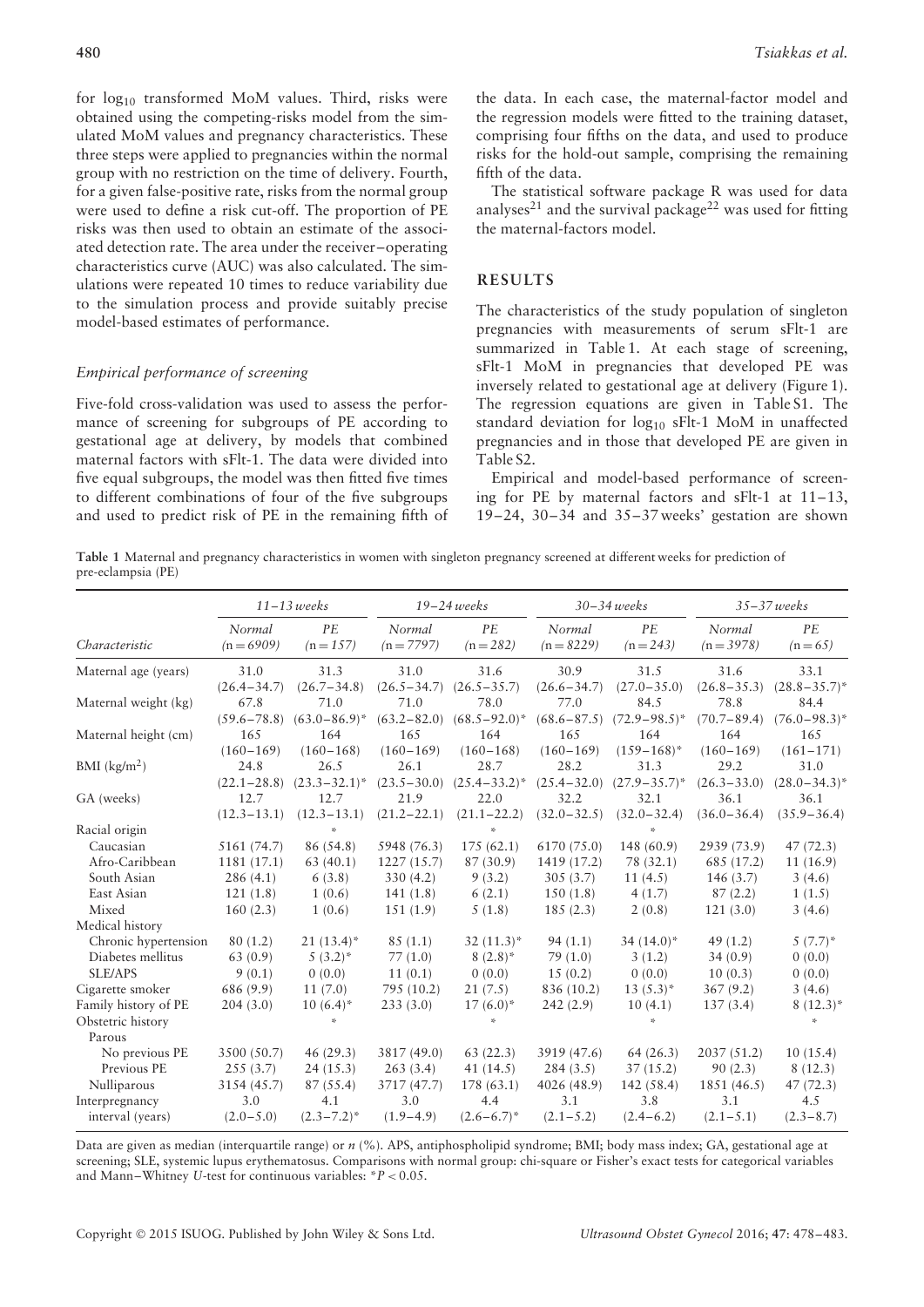for  $log_{10}$  transformed MoM values. Third, risks were obtained using the competing-risks model from the simulated MoM values and pregnancy characteristics. These three steps were applied to pregnancies within the normal group with no restriction on the time of delivery. Fourth, for a given false-positive rate, risks from the normal group were used to define a risk cut-off. The proportion of PE risks was then used to obtain an estimate of the associated detection rate. The area under the receiver–operating characteristics curve (AUC) was also calculated. The simulations were repeated 10 times to reduce variability due to the simulation process and provide suitably precise model-based estimates of performance.

## *Empirical performance of screening*

Five-fold cross-validation was used to assess the performance of screening for subgroups of PE according to gestational age at delivery, by models that combined maternal factors with sFlt-1. The data were divided into five equal subgroups, the model was then fitted five times to different combinations of four of the five subgroups and used to predict risk of PE in the remaining fifth of

the data. In each case, the maternal-factor model and the regression models were fitted to the training dataset, comprising four fifths on the data, and used to produce risks for the hold-out sample, comprising the remaining fifth of the data.

The statistical software package R was used for data analyses<sup>21</sup> and the survival package<sup>22</sup> was used for fitting the maternal-factors model.

# **RESULTS**

The characteristics of the study population of singleton pregnancies with measurements of serum sFlt-1 are summarized in Table 1. At each stage of screening, sFlt-1 MoM in pregnancies that developed PE was inversely related to gestational age at delivery (Figure 1). The regression equations are given in Table S1. The standard deviation for log<sub>10</sub> sFlt-1 MoM in unaffected pregnancies and in those that developed PE are given in Table S2.

Empirical and model-based performance of screening for PE by maternal factors and sFlt-1 at 11–13, 19–24, 30–34 and 35–37 weeks' gestation are shown

**Table 1** Maternal and pregnancy characteristics in women with singleton pregnancy screened at different weeks for prediction of pre-eclampsia (PE)

|                      | $11 - 13$ weeks        |                   | $19 - 24$ weeks        |                   | $30 - 34$ weeks        |                   | $35 - 37$ weeks      |                        |
|----------------------|------------------------|-------------------|------------------------|-------------------|------------------------|-------------------|----------------------|------------------------|
| Characteristic       | Normal<br>$(n = 6909)$ | PE<br>$(n = 157)$ | Normal<br>$(n = 7797)$ | PE<br>$(n = 282)$ | Normal<br>$(n = 8229)$ | PE<br>$(n = 243)$ | Normal<br>$(n=3978)$ | PE<br>$(n=65)$         |
| Maternal age (years) | 31.0                   | 31.3              | 31.0                   | 31.6              | 30.9                   | 31.5              | 31.6                 | 33.1                   |
|                      | $(26.4 - 34.7)$        | $(26.7 - 34.8)$   | $(26.5 - 34.7)$        | $(26.5 - 35.7)$   | $(26.6 - 34.7)$        | $(27.0 - 35.0)$   | $(26.8 - 35.3)$      | $(28.8 - 35.7)^*$      |
| Maternal weight (kg) | 67.8                   | 71.0              | 71.0                   | 78.0              | 77.0                   | 84.5              | 78.8                 | 84.4                   |
|                      | $(59.6 - 78.8)$        | $(63.0 - 86.9)^*$ | $(63.2 - 82.0)$        | $(68.5 - 92.0)^*$ | $(68.6 - 87.5)$        | $(72.9 - 98.5)^*$ | $(70.7 - 89.4)$      | $(76.0 - 98.3)^*$      |
| Maternal height (cm) | 165                    | 164               | 165                    | 164               | 165                    | 164               | 164                  | 165                    |
|                      | $(160 - 169)$          | $(160 - 168)$     | $(160 - 169)$          | $(160 - 168)$     | $(160 - 169)$          | $(159 - 168)^*$   | $(160 - 169)$        | $(161 - 171)$          |
| BMI $(kg/m2)$        | 24.8                   | 26.5              | 26.1                   | 28.7              | 28.2                   | 31.3              | 29.2                 | 31.0                   |
|                      | $(22.1 - 28.8)$        | $(23.3 - 32.1)^*$ | $(23.5 - 30.0)$        | $(25.4 - 33.2)^*$ | $(25.4 - 32.0)$        | $(27.9 - 35.7)^*$ | $(26.3 - 33.0)$      | $(28.0 - 34.3)^*$      |
| GA (weeks)           | 12.7                   | 12.7              | 21.9                   | 22.0              | 32.2                   | 32.1              | 36.1                 | 36.1                   |
|                      | $(12.3 - 13.1)$        | $(12.3 - 13.1)$   | $(21.2 - 22.1)$        | $(21.1 - 22.2)$   | $(32.0 - 32.5)$        | $(32.0 - 32.4)$   | $(36.0 - 36.4)$      | $(35.9 - 36.4)$        |
| Racial origin        |                        | ×,                |                        | ×,                |                        |                   |                      |                        |
| Caucasian            | 5161 (74.7)            | 86 (54.8)         | 5948 (76.3)            | 175(62.1)         | 6170 (75.0)            | 148 (60.9)        | 2939 (73.9)          | 47(72.3)               |
| Afro-Caribbean       | 1181 (17.1)            | 63(40.1)          | 1227(15.7)             | 87 (30.9)         | 1419 (17.2)            | 78 (32.1)         | 685 (17.2)           | 11(16.9)               |
| South Asian          | 286 (4.1)              | 6(3.8)            | 330(4.2)               | 9(3.2)            | 305(3.7)               | 11 $(4.5)$        | 146(3.7)             | 3(4.6)                 |
| East Asian           | 121(1.8)               | 1(0.6)            | 141(1.8)               | 6(2.1)            | 150(1.8)               | 4(1.7)            | 87(2.2)              | 1(1.5)                 |
| Mixed                | 160(2.3)               | 1(0.6)            | 151(1.9)               | 5(1.8)            | 185(2.3)               | 2(0.8)            | 121(3.0)             | 3(4.6)                 |
| Medical history      |                        |                   |                        |                   |                        |                   |                      |                        |
| Chronic hypertension | 80(1.2)                | $21(13.4)^*$      | 85(1.1)                | $32(11.3)^*$      | 94(1.1)                | $34(14.0)^*$      | 49(1.2)              | $5(7.7)^*$             |
| Diabetes mellitus    | 63(0.9)                | $5(3.2)^{*}$      | 77(1.0)                | $8(2.8)^*$        | 79(1.0)                | 3(1.2)            | 34(0.9)              | 0(0.0)                 |
| <b>SLE/APS</b>       | 9(0.1)                 | 0(0.0)            | 11(0.1)                | 0(0.0)            | 15(0.2)                | 0(0.0)            | 10(0.3)              | 0(0.0)                 |
| Cigarette smoker     | 686 (9.9)              | 11(7.0)           | 795 (10.2)             | 21(7.5)           | 836 (10.2)             | $13(5.3)^*$       | 367(9.2)             | 3(4.6)                 |
| Family history of PE | 204(3.0)               | $10(6.4)$ *       | 233(3.0)               | $17(6.0)^*$       | 242(2.9)               | 10(4.1)           | 137(3.4)             | $8(12.3)^*$            |
| Obstetric history    |                        | ×.                |                        |                   |                        | st.               |                      | $\mathbf{x}_i^{\star}$ |
| Parous               |                        |                   |                        |                   |                        |                   |                      |                        |
| No previous PE       | 3500 (50.7)            | 46(29.3)          | 3817 (49.0)            | 63(22.3)          | 3919 (47.6)            | 64(26.3)          | 2037(51.2)           | 10(15.4)               |
| Previous PE          | 255(3.7)               | 24(15.3)          | 263(3.4)               | 41 $(14.5)$       | 284(3.5)               | 37(15.2)          | 90(2.3)              | 8(12.3)                |
| Nulliparous          | 3154 (45.7)            | 87(55.4)          | 3717 (47.7)            | 178 (63.1)        | 4026 (48.9)            | 142 (58.4)        | 1851 (46.5)          | 47(72.3)               |
| Interpregnancy       | 3.0                    | 4.1               | 3.0                    | 4.4               | 3.1                    | 3.8               | 3.1                  | 4.5                    |
| interval (years)     | $(2.0 - 5.0)$          | $(2.3 - 7.2)^*$   | $(1.9-4.9)$            | $(2.6 - 6.7)^*$   | $(2.1 - 5.2)$          | $(2.4 - 6.2)$     | $(2.1 - 5.1)$        | $(2.3 - 8.7)$          |

Data are given as median (interquartile range) or *n* (%). APS, antiphospholipid syndrome; BMI; body mass index; GA, gestational age at screening; SLE, systemic lupus erythematosus. Comparisons with normal group: chi-square or Fisher's exact tests for categorical variables and Mann–Whitney *U*-test for continuous variables: \**P <* 0.05.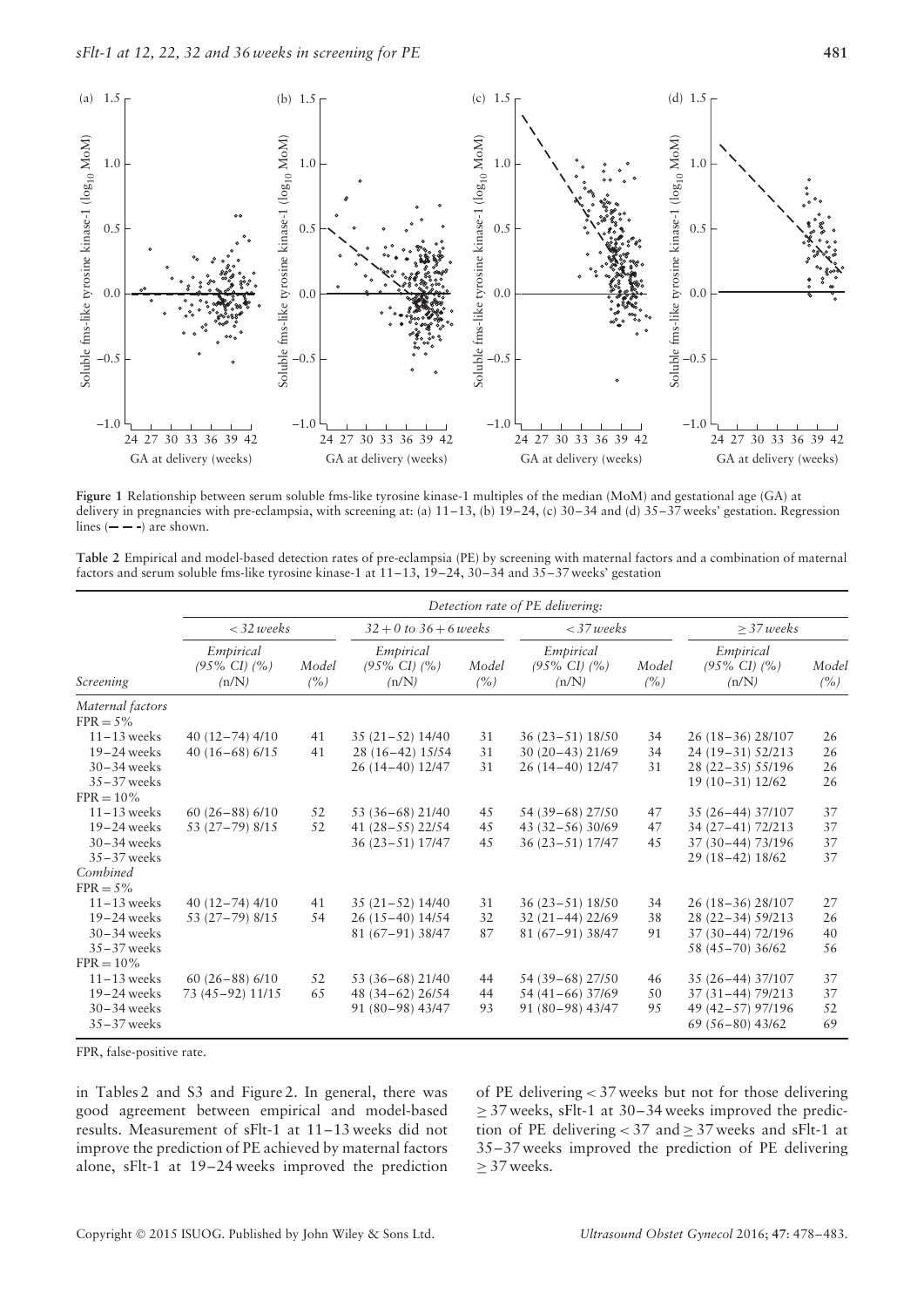

**Figure 1** Relationship between serum soluble fms-like tyrosine kinase-1 multiples of the median (MoM) and gestational age (GA) at delivery in pregnancies with pre-eclampsia, with screening at: (a) 11–13, (b) 19–24, (c) 30–34 and (d) 35–37 weeks' gestation. Regression lines  $(- - )$  are shown.

**Table 2** Empirical and model-based detection rates of pre-eclampsia (PE) by screening with maternal factors and a combination of maternal factors and serum soluble fms-like tyrosine kinase-1 at 11–13, 19–24, 30–34 and 35–37 weeks' gestation

| Screening                       | Detection rate of PE delivering:               |               |                                                |              |                                                |              |                                                |              |  |  |
|---------------------------------|------------------------------------------------|---------------|------------------------------------------------|--------------|------------------------------------------------|--------------|------------------------------------------------|--------------|--|--|
|                                 | $<$ 32 weeks                                   |               | $32 + 0$ to $36 + 6$ weeks                     |              | $<$ 37 weeks                                   |              | $>$ 37 weeks                                   |              |  |  |
|                                 | Empirical<br>$(95\% \text{ CI})$ $(%$<br>(n/N) | Model<br>(% ) | Empirical<br>$(95\% \text{ CI})$ $(%$<br>(n/N) | Model<br>(%) | Empirical<br>$(95\% \text{ CI})$ $(%$<br>(n/N) | Model<br>(%) | Empirical<br>$(95\% \text{ CI})$ $(%$<br>(n/N) | Model<br>(%) |  |  |
| Maternal factors<br>$FPR = 5\%$ |                                                |               |                                                |              |                                                |              |                                                |              |  |  |
| $11 - 13$ weeks                 | $40(12-74)$ $4/10$                             | 41            | $35(21-52)14/40$                               | 31           | $36(23-51)18/50$                               | 34           | 26 (18-36) 28/107                              | 26           |  |  |
| $19-24$ weeks                   | 40 $(16-68)$ 6/15                              | 41            | 28 (16-42) 15/54                               | 31           | $30(20-43)21/69$                               | 34           | 24 (19-31) 52/213                              | 26           |  |  |
| $30 - 34$ weeks                 |                                                |               | 26 (14-40) 12/47                               | 31           | 26 (14-40) 12/47                               | 31           | 28 (22-35) 55/196                              | 26           |  |  |
| $35 - 37$ weeks                 |                                                |               |                                                |              |                                                |              | $19(10-31)12/62$                               | 26           |  |  |
| $FPR = 10\%$                    |                                                |               |                                                |              |                                                |              |                                                |              |  |  |
| $11 - 13$ weeks                 | $60(26-88)$ 6/10                               | 52            | 53 (36-68) 21/40                               | 45           | 54 (39–68) 27/50                               | 47           | 35 (26-44) 37/107                              | 37           |  |  |
| $19-24$ weeks                   | 53 (27-79) 8/15                                | 52            | $41(28-55)$ 22/54                              | 45           | $43(32-56)30/69$                               | 47           | 34 (27-41) 72/213                              | 37           |  |  |
| $30 - 34$ weeks                 |                                                |               | 36 (23-51) 17/47                               | 45           | $36(23-51)$ 17/47                              | 45           | 37 (30-44) 73/196                              | 37           |  |  |
| $35 - 37$ weeks                 |                                                |               |                                                |              |                                                |              | 29 (18-42) 18/62                               | 37           |  |  |
| Combined                        |                                                |               |                                                |              |                                                |              |                                                |              |  |  |
| $FPR = 5\%$                     |                                                |               |                                                |              |                                                |              |                                                |              |  |  |
| $11 - 13$ weeks                 | $40(12-74)$ $4/10$                             | 41            | $35(21-52)14/40$                               | 31           | $36(23-51)18/50$                               | 34           | 26 (18-36) 28/107                              | 27           |  |  |
| $19-24$ weeks                   | 53 (27-79) 8/15                                | 54            | $26(15-40)14/54$                               | 32           | $32(21-44)22/69$                               | 38           | 28 (22-34) 59/213                              | 26           |  |  |
| $30 - 34$ weeks                 |                                                |               | 81 (67-91) 38/47                               | 87           | 81 (67-91) 38/47                               | 91           | 37 (30-44) 72/196                              | 40           |  |  |
| $35 - 37$ weeks                 |                                                |               |                                                |              |                                                |              | 58 (45 - 70) 36/62                             | 56           |  |  |
| $FPR = 10\%$                    |                                                |               |                                                |              |                                                |              |                                                |              |  |  |
| $11 - 13$ weeks                 | $60(26-88)$ 6/10                               | 52            | 53 (36-68) 21/40                               | 44           | 54 (39–68) 27/50                               | 46           | 35 (26-44) 37/107                              | 37           |  |  |
| $19-24$ weeks                   | 73 (45-92) 11/15                               | 65            | 48 (34-62) 26/54                               | 44           | 54 (41-66) 37/69                               | 50           | 37 (31-44) 79/213                              | 37           |  |  |
| $30 - 34$ weeks                 |                                                |               | 91 (80-98) 43/47                               | 93           | 91 (80-98) 43/47                               | 95           | 49 (42-57) 97/196                              | 52           |  |  |
| $35 - 37$ weeks                 |                                                |               |                                                |              |                                                |              | $69(56-80)$ 43/62                              | 69           |  |  |

FPR, false-positive rate.

in Tables 2 and S3 and Figure 2. In general, there was good agreement between empirical and model-based results. Measurement of sFlt-1 at 11–13 weeks did not improve the prediction of PE achieved by maternal factors alone, sFlt-1 at 19–24 weeks improved the prediction of PE delivering *<* 37 weeks but not for those delivering  $\geq$  37 weeks, sFlt-1 at 30–34 weeks improved the prediction of PE delivering  $<$  37 and  $\geq$  37 weeks and sFlt-1 at 35–37 weeks improved the prediction of PE delivering  $\geq$  37 weeks.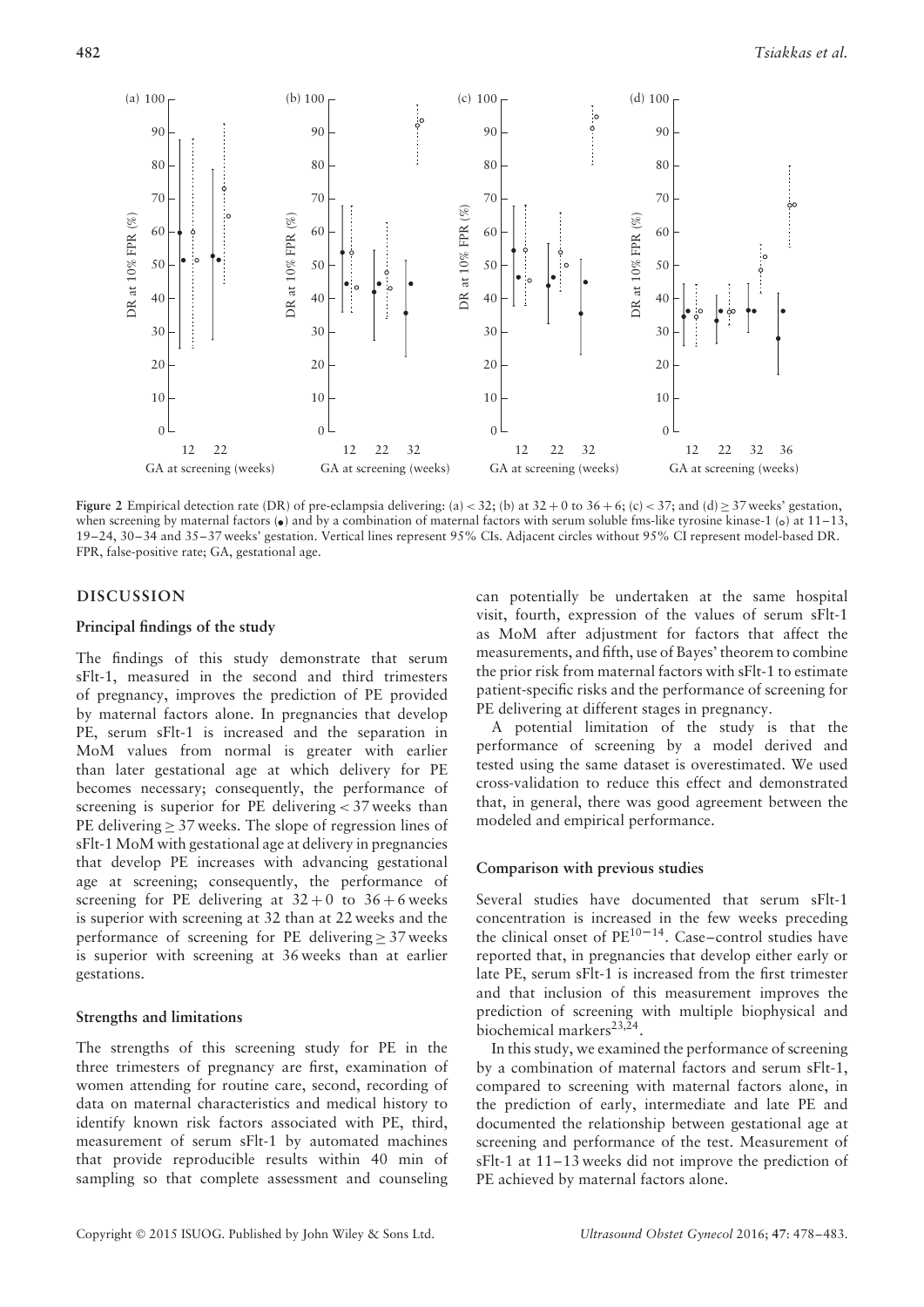

**Figure 2** Empirical detection rate (DR) of pre-eclampsia delivering: (a) < 32; (b) at  $32 + 0$  to  $36 + 6$ ; (c) < 37; and (d) > 37 weeks' gestation, when screening by maternal factors  $\left( \bullet \right)$  and by a combination of maternal factors with serum soluble fms-like tyrosine kinase-1 (o) at 11–13, 19–24, 30–34 and 35–37 weeks' gestation. Vertical lines represent 95% CIs. Adjacent circles without 95% CI represent model-based DR. FPR, false-positive rate; GA, gestational age.

#### **DISCUSSION**

#### **Principal findings of the study**

The findings of this study demonstrate that serum sFlt-1, measured in the second and third trimesters of pregnancy, improves the prediction of PE provided by maternal factors alone. In pregnancies that develop PE, serum sFlt-1 is increased and the separation in MoM values from normal is greater with earlier than later gestational age at which delivery for PE becomes necessary; consequently, the performance of screening is superior for PE delivering *<* 37 weeks than PE delivering ≥ 37 weeks. The slope of regression lines of sFlt-1 MoM with gestational age at delivery in pregnancies that develop PE increases with advancing gestational age at screening; consequently, the performance of screening for PE delivering at  $32+0$  to  $36+6$  weeks is superior with screening at 32 than at 22 weeks and the performance of screening for PE delivering  $> 37$  weeks is superior with screening at 36 weeks than at earlier gestations.

#### **Strengths and limitations**

The strengths of this screening study for PE in the three trimesters of pregnancy are first, examination of women attending for routine care, second, recording of data on maternal characteristics and medical history to identify known risk factors associated with PE, third, measurement of serum sFlt-1 by automated machines that provide reproducible results within 40 min of sampling so that complete assessment and counseling

can potentially be undertaken at the same hospital visit, fourth, expression of the values of serum sFlt-1 as MoM after adjustment for factors that affect the measurements, and fifth, use of Bayes' theorem to combine the prior risk from maternal factors with sFlt-1 to estimate patient-specific risks and the performance of screening for PE delivering at different stages in pregnancy.

A potential limitation of the study is that the performance of screening by a model derived and tested using the same dataset is overestimated. We used cross-validation to reduce this effect and demonstrated that, in general, there was good agreement between the modeled and empirical performance.

#### **Comparison with previous studies**

Several studies have documented that serum sFlt-1 concentration is increased in the few weeks preceding the clinical onset of  $PE^{10-14}$ . Case–control studies have reported that, in pregnancies that develop either early or late PE, serum sFlt-1 is increased from the first trimester and that inclusion of this measurement improves the prediction of screening with multiple biophysical and biochemical markers<sup>23,24</sup>.

In this study, we examined the performance of screening by a combination of maternal factors and serum sFlt-1, compared to screening with maternal factors alone, in the prediction of early, intermediate and late PE and documented the relationship between gestational age at screening and performance of the test. Measurement of sFlt-1 at 11–13 weeks did not improve the prediction of PE achieved by maternal factors alone.